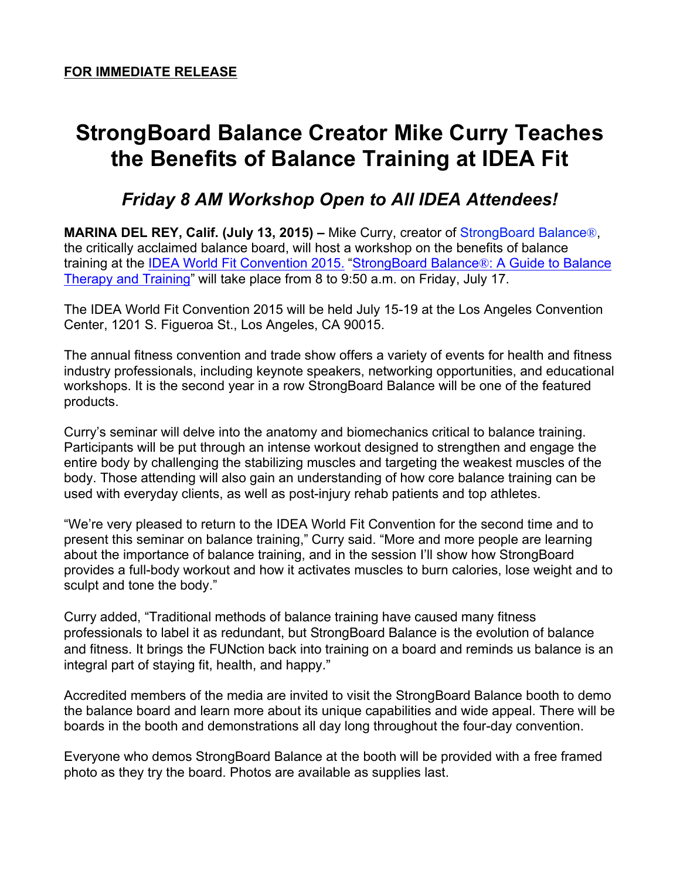## **StrongBoard Balance Creator Mike Curry Teaches the Benefits of Balance Training at IDEA Fit**

## *Friday 8 AM Workshop Open to All IDEA Attendees!*

**MARINA DEL REY, Calif. (July 13, 2015) –** Mike Curry, creator of StrongBoard Balance®, the critically acclaimed balance board, will host a workshop on the benefits of balance training at the IDEA World Fit Convention 2015. "StrongBoard Balance®: A Guide to Balance Therapy and Training" will take place from 8 to 9:50 a.m. on Friday, July 17.

The IDEA World Fit Convention 2015 will be held July 15-19 at the Los Angeles Convention Center, 1201 S. Figueroa St., Los Angeles, CA 90015.

The annual fitness convention and trade show offers a variety of events for health and fitness industry professionals, including keynote speakers, networking opportunities, and educational workshops. It is the second year in a row StrongBoard Balance will be one of the featured products.

Curry's seminar will delve into the anatomy and biomechanics critical to balance training. Participants will be put through an intense workout designed to strengthen and engage the entire body by challenging the stabilizing muscles and targeting the weakest muscles of the body. Those attending will also gain an understanding of how core balance training can be used with everyday clients, as well as post-injury rehab patients and top athletes.

"We're very pleased to return to the IDEA World Fit Convention for the second time and to present this seminar on balance training," Curry said. "More and more people are learning about the importance of balance training, and in the session I'll show how StrongBoard provides a full-body workout and how it activates muscles to burn calories, lose weight and to sculpt and tone the body."

Curry added, "Traditional methods of balance training have caused many fitness professionals to label it as redundant, but StrongBoard Balance is the evolution of balance and fitness. It brings the FUNction back into training on a board and reminds us balance is an integral part of staying fit, health, and happy."

Accredited members of the media are invited to visit the StrongBoard Balance booth to demo the balance board and learn more about its unique capabilities and wide appeal. There will be boards in the booth and demonstrations all day long throughout the four-day convention.

Everyone who demos StrongBoard Balance at the booth will be provided with a free framed photo as they try the board. Photos are available as supplies last.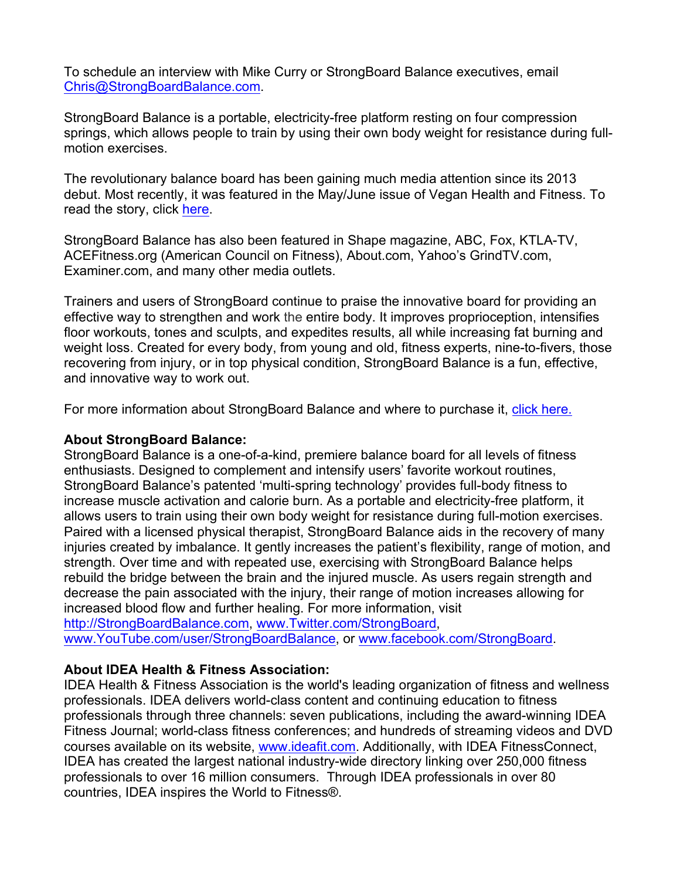To schedule an interview with Mike Curry or StrongBoard Balance executives, email Chris@StrongBoardBalance.com.

StrongBoard Balance is a portable, electricity-free platform resting on four compression springs, which allows people to train by using their own body weight for resistance during fullmotion exercises.

The revolutionary balance board has been gaining much media attention since its 2013 debut. Most recently, it was featured in the May/June issue of Vegan Health and Fitness. To read the story, click here.

StrongBoard Balance has also been featured in Shape magazine, ABC, Fox, KTLA-TV, ACEFitness.org (American Council on Fitness), About.com, Yahoo's GrindTV.com, Examiner.com, and many other media outlets.

Trainers and users of StrongBoard continue to praise the innovative board for providing an effective way to strengthen and work the entire body. It improves proprioception, intensifies floor workouts, tones and sculpts, and expedites results, all while increasing fat burning and weight loss. Created for every body, from young and old, fitness experts, nine-to-fivers, those recovering from injury, or in top physical condition, StrongBoard Balance is a fun, effective, and innovative way to work out.

For more information about StrongBoard Balance and where to purchase it, click here.

## **About StrongBoard Balance:**

StrongBoard Balance is a one-of-a-kind, premiere balance board for all levels of fitness enthusiasts. Designed to complement and intensify users' favorite workout routines, StrongBoard Balance's patented 'multi-spring technology' provides full-body fitness to increase muscle activation and calorie burn. As a portable and electricity-free platform, it allows users to train using their own body weight for resistance during full-motion exercises. Paired with a licensed physical therapist, StrongBoard Balance aids in the recovery of many injuries created by imbalance. It gently increases the patient's flexibility, range of motion, and strength. Over time and with repeated use, exercising with StrongBoard Balance helps rebuild the bridge between the brain and the injured muscle. As users regain strength and decrease the pain associated with the injury, their range of motion increases allowing for increased blood flow and further healing. For more information, visit

http://StrongBoardBalance.com, www.Twitter.com/StrongBoard, www.YouTube.com/user/StrongBoardBalance, or www.facebook.com/StrongBoard.

## **About IDEA Health & Fitness Association:**

IDEA Health & Fitness Association is the world's leading organization of fitness and wellness professionals. IDEA delivers world-class content and continuing education to fitness professionals through three channels: seven publications, including the award-winning IDEA Fitness Journal; world-class fitness conferences; and hundreds of streaming videos and DVD courses available on its website, www.ideafit.com. Additionally, with IDEA FitnessConnect, IDEA has created the largest national industry-wide directory linking over 250,000 fitness professionals to over 16 million consumers. Through IDEA professionals in over 80 countries, IDEA inspires the World to Fitness®.